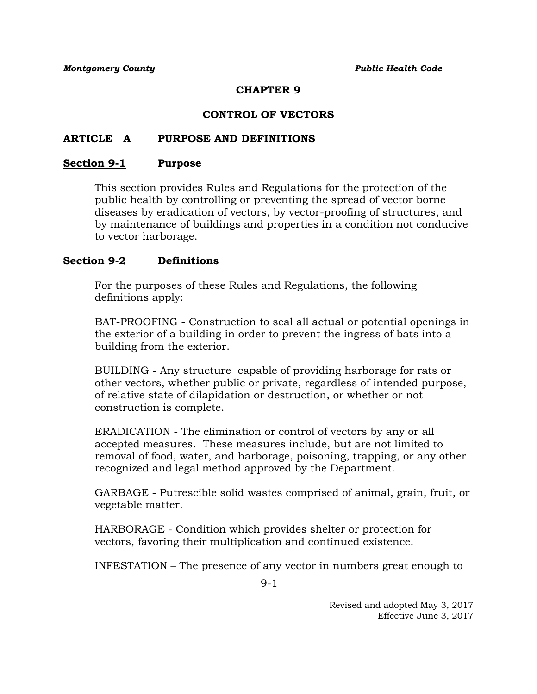## **CHAPTER 9**

## **CONTROL OF VECTORS**

### **ARTICLE A PURPOSE AND DEFINITIONS**

#### **Section 9-1 Purpose**

This section provides Rules and Regulations for the protection of the public health by controlling or preventing the spread of vector borne diseases by eradication of vectors, by vector-proofing of structures, and by maintenance of buildings and properties in a condition not conducive to vector harborage.

### **Section 9-2 Definitions**

For the purposes of these Rules and Regulations, the following definitions apply:

BAT-PROOFING - Construction to seal all actual or potential openings in the exterior of a building in order to prevent the ingress of bats into a building from the exterior.

BUILDING - Any structure capable of providing harborage for rats or other vectors, whether public or private, regardless of intended purpose, of relative state of dilapidation or destruction, or whether or not construction is complete.

ERADICATION - The elimination or control of vectors by any or all accepted measures. These measures include, but are not limited to removal of food, water, and harborage, poisoning, trapping, or any other recognized and legal method approved by the Department.

GARBAGE - Putrescible solid wastes comprised of animal, grain, fruit, or vegetable matter.

HARBORAGE - Condition which provides shelter or protection for vectors, favoring their multiplication and continued existence.

INFESTATION – The presence of any vector in numbers great enough to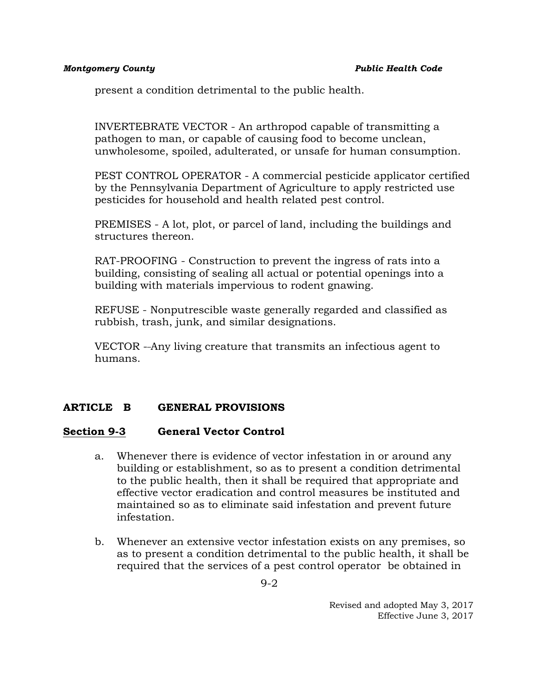present a condition detrimental to the public health.

INVERTEBRATE VECTOR - An arthropod capable of transmitting a pathogen to man, or capable of causing food to become unclean, unwholesome, spoiled, adulterated, or unsafe for human consumption.

PEST CONTROL OPERATOR - A commercial pesticide applicator certified by the Pennsylvania Department of Agriculture to apply restricted use pesticides for household and health related pest control.

PREMISES - A lot, plot, or parcel of land, including the buildings and structures thereon.

RAT-PROOFING - Construction to prevent the ingress of rats into a building, consisting of sealing all actual or potential openings into a building with materials impervious to rodent gnawing.

REFUSE - Nonputrescible waste generally regarded and classified as rubbish, trash, junk, and similar designations.

VECTOR - Any living creature that transmits an infectious agent to humans.

## **ARTICLE B GENERAL PROVISIONS**

## **Section 9-3 General Vector Control**

- a. Whenever there is evidence of vector infestation in or around any building or establishment, so as to present a condition detrimental to the public health, then it shall be required that appropriate and effective vector eradication and control measures be instituted and maintained so as to eliminate said infestation and prevent future infestation.
- b. Whenever an extensive vector infestation exists on any premises, so as to present a condition detrimental to the public health, it shall be required that the services of a pest control operator be obtained in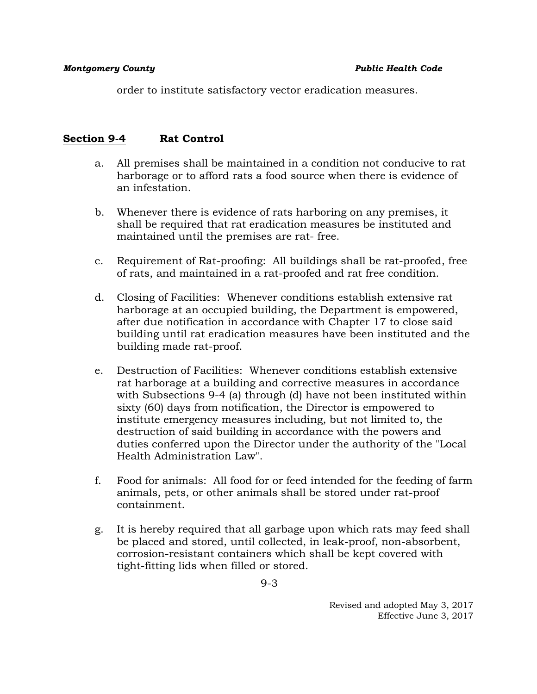order to institute satisfactory vector eradication measures.

## **Section 9-4 Rat Control**

- a. All premises shall be maintained in a condition not conducive to rat harborage or to afford rats a food source when there is evidence of an infestation.
- b. Whenever there is evidence of rats harboring on any premises, it shall be required that rat eradication measures be instituted and maintained until the premises are rat- free.
- c. Requirement of Rat-proofing: All buildings shall be rat-proofed, free of rats, and maintained in a rat-proofed and rat free condition.
- d. Closing of Facilities: Whenever conditions establish extensive rat harborage at an occupied building, the Department is empowered, after due notification in accordance with Chapter 17 to close said building until rat eradication measures have been instituted and the building made rat-proof.
- e. Destruction of Facilities: Whenever conditions establish extensive rat harborage at a building and corrective measures in accordance with Subsections 9-4 (a) through (d) have not been instituted within sixty (60) days from notification, the Director is empowered to institute emergency measures including, but not limited to, the destruction of said building in accordance with the powers and duties conferred upon the Director under the authority of the "Local Health Administration Law".
- f. Food for animals: All food for or feed intended for the feeding of farm animals, pets, or other animals shall be stored under rat-proof containment.
- g. It is hereby required that all garbage upon which rats may feed shall be placed and stored, until collected, in leak-proof, non-absorbent, corrosion-resistant containers which shall be kept covered with tight-fitting lids when filled or stored.